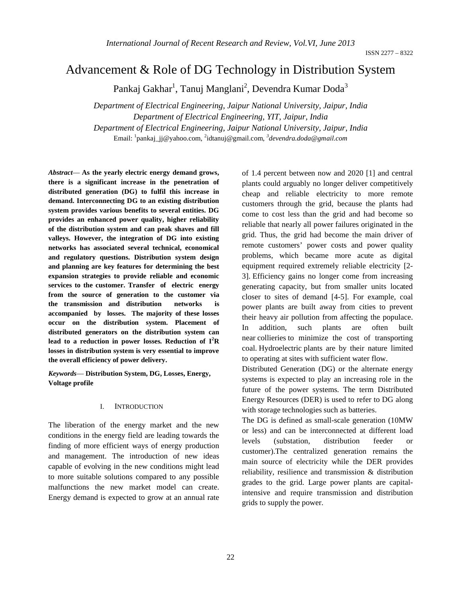# Advancement & Role of DG Technology in Distribution System

Pankaj Gakhar<sup>1</sup>, Tanuj Manglani<sup>2</sup>, Devendra Kumar Doda<sup>3</sup>

*Department of Electrical Engineering, Jaipur National University, Jaipur, India Department of Electrical Engineering, YIT, Jaipur, India Department of Electrical Engineering, Jaipur National University, Jaipur, India* Email: 1 pankaj\_jj@yahoo.com, <sup>2</sup> idtanuj@gmail.com, *<sup>3</sup> devendra.doda@gmail.com*

*Abstract*— **As the yearly electric energy demand grows, there is a significant increase in the penetration of distributed generation (DG) to fulfil this increase in demand. Interconnecting DG to an existing distribution system provides various benefits to several entities. DG provides an enhanced power quality, higher reliability of the distribution system and can peak shaves and fill valleys. However, the integration of DG into existing networks has associated several technical, economical and regulatory questions. Distribution system design and planning are key features for determining the best expansion strategies to provide reliable and economic services to the customer. Transfer of electric energy from the source of generation to the customer via the transmission and distribution networks is accompanied by losses. The majority of these losses occur on the distribution system. Placement of distributed generators on the distribution system can lead to a reduction in power losses. Reduction of I<sup>2</sup> R losses in distribution system is very essential to improve the overall efficiency of power delivery.**

*Keywords*— **Distribution System, DG, Losses, Energy, Voltage profile**

# I. INTRODUCTION

The liberation of the energy market and the new conditions in the energy field are leading towards the finding of more efficient ways of energy production and management. The introduction of new ideas capable of evolving in the new conditions might lead to more suitable solutions compared to any possible malfunctions the new market model can create. Energy demand is expected to grow at an annual rate of 1.4 percent between now and 2020 [1] and central plants could arguably no longer deliver competitively cheap and reliable electricity to more remote customers through the grid, because the plants had come to cost less than the grid and had become so reliable that nearly all power failures originated in the grid. Thus, the grid had become the main driver of remote customers' power costs and power quality problems, which became more acute as digital equipment required extremely reliable electricity [2- 3]. Efficiency gains no longer come from increasing generating capacity, but from smaller units located closer to sites of demand [4-5]. For example, coal power plants are built away from cities to prevent their heavy air pollution from affecting the populace. In addition, such plants are often built near collieries to minimize the cost of transporting coal. Hydroelectric plants are by their nature limited to operating at sites with sufficient water flow.

Distributed Generation (DG) or the alternate energy systems is expected to play an increasing role in the future of the power systems. The term Distributed Energy Resources (DER) is used to refer to DG along with storage technologies such as batteries.

The DG is defined as small-scale generation (10MW or less) and can be interconnected at different load levels (substation, distribution feeder or customer).The centralized generation remains the main source of electricity while the DER provides reliability, resilience and transmission & distribution grades to the grid. Large power plants are capitalintensive and require transmission and distribution grids to supply the power.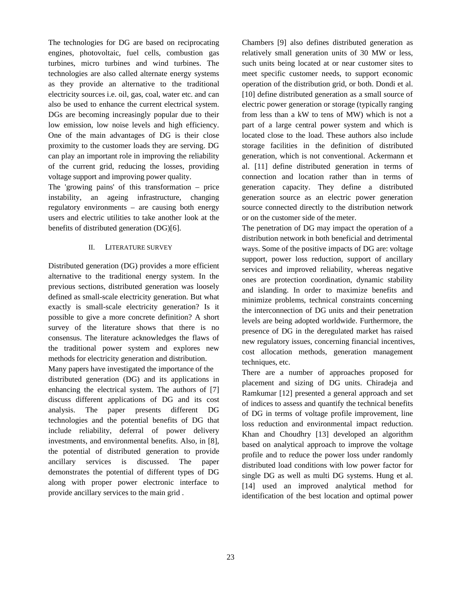The technologies for DG are based on reciprocating engines, photovoltaic, fuel cells, combustion gas turbines, micro turbines and wind turbines. The technologies are also called alternate energy systems as they provide an alternative to the traditional electricity sources i.e. oil, gas, coal, water etc. and can also be used to enhance the current electrical system. DGs are becoming increasingly popular due to their low emission, low noise levels and high efficiency. One of the main advantages of DG is their close proximity to the customer loads they are serving. DG can play an important role in improving the reliability of the current grid, reducing the losses, providing voltage support and improving power quality.

The 'growing pains' of this transformation – price instability, an ageing infrastructure, changing regulatory environments – are causing both energy users and electric utilities to take another look at the benefits of distributed generation (DG)[6].

## II. LITERATURE SURVEY

Distributed generation (DG) provides a more efficient alternative to the traditional energy system. In the previous sections, distributed generation was loosely defined as small-scale electricity generation. But what exactly is small-scale electricity generation? Is it possible to give a more concrete definition? A short survey of the literature shows that there is no consensus. The literature acknowledges the flaws of the traditional power system and explores new methods for electricity generation and distribution.

Many papers have investigated the importance of the distributed generation (DG) and its applications in enhancing the electrical system. The authors of [7] discuss different applications of DG and its cost analysis. The paper presents different DG technologies and the potential benefits of DG that include reliability, deferral of power delivery investments, and environmental benefits. Also, in [8], the potential of distributed generation to provide ancillary services is discussed. The paper demonstrates the potential of different types of DG along with proper power electronic interface to provide ancillary services to the main grid .

Chambers [9] also defines distributed generation as relatively small generation units of 30 MW or less, such units being located at or near customer sites to meet specific customer needs, to support economic operation of the distribution grid, or both. Dondi et al. [10] define distributed generation as a small source of electric power generation or storage (typically ranging from less than a kW to tens of MW) which is not a part of a large central power system and which is located close to the load. These authors also include storage facilities in the definition of distributed generation, which is not conventional. Ackermann et al. [11] define distributed generation in terms of connection and location rather than in terms of generation capacity. They define a distributed generation source as an electric power generation source connected directly to the distribution network or on the customer side of the meter.

The penetration of DG may impact the operation of a distribution network in both beneficial and detrimental ways. Some of the positive impacts of DG are: voltage support, power loss reduction, support of ancillary services and improved reliability, whereas negative ones are protection coordination, dynamic stability and islanding. In order to maximize benefits and minimize problems, technical constraints concerning the interconnection of DG units and their penetration levels are being adopted worldwide. Furthermore, the presence of DG in the deregulated market has raised new regulatory issues, concerning financial incentives, cost allocation methods, generation management techniques, etc.

There are a number of approaches proposed for placement and sizing of DG units. Chiradeja and Ramkumar [12] presented a general approach and set of indices to assess and quantify the technical benefits of DG in terms of voltage profile improvement, line loss reduction and environmental impact reduction. Khan and Choudhry [13] developed an algorithm based on analytical approach to improve the voltage profile and to reduce the power loss under randomly distributed load conditions with low power factor for single DG as well as multi DG systems. Hung et al. [14] used an improved analytical method for identification of the best location and optimal power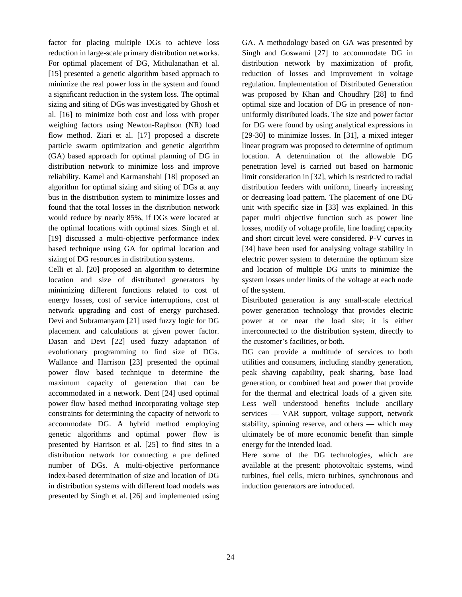factor for placing multiple DGs to achieve loss reduction in large-scale primary distribution networks. For optimal placement of DG, Mithulanathan et al. [15] presented a genetic algorithm based approach to minimize the real power loss in the system and found a significant reduction in the system loss. The optimal sizing and siting of DGs was investigated by Ghosh et al. [16] to minimize both cost and loss with proper weighing factors using Newton-Raphson (NR) load flow method. Ziari et al. [17] proposed a discrete particle swarm optimization and genetic algorithm (GA) based approach for optimal planning of DG in distribution network to minimize loss and improve reliability. Kamel and Karmanshahi [18] proposed an algorithm for optimal sizing and siting of DGs at any bus in the distribution system to minimize losses and found that the total losses in the distribution network would reduce by nearly 85%, if DGs were located at the optimal locations with optimal sizes. Singh et al. [19] discussed a multi-objective performance index based technique using GA for optimal location and sizing of DG resources in distribution systems.

Celli et al. [20] proposed an algorithm to determine location and size of distributed generators by minimizing different functions related to cost of energy losses, cost of service interruptions, cost of network upgrading and cost of energy purchased. Devi and Subramanyam [21] used fuzzy logic for DG placement and calculations at given power factor. Dasan and Devi [22] used fuzzy adaptation of evolutionary programming to find size of DGs. Wallance and Harrison [23] presented the optimal power flow based technique to determine the maximum capacity of generation that can be accommodated in a network. Dent [24] used optimal power flow based method incorporating voltage step constraints for determining the capacity of network to accommodate DG. A hybrid method employing genetic algorithms and optimal power flow is presented by Harrison et al. [25] to find sites in a distribution network for connecting a pre defined number of DGs. A multi-objective performance index-based determination of size and location of DG in distribution systems with different load models was presented by Singh et al. [26] and implemented using

GA. A methodology based on GA was presented by Singh and Goswami [27] to accommodate DG in distribution network by maximization of profit, reduction of losses and improvement in voltage regulation. Implementation of Distributed Generation was proposed by Khan and Choudhry [28] to find optimal size and location of DG in presence of nonuniformly distributed loads. The size and power factor for DG were found by using analytical expressions in [29-30] to minimize losses. In [31], a mixed integer linear program was proposed to determine of optimum location. A determination of the allowable DG penetration level is carried out based on harmonic limit consideration in [32], which is restricted to radial distribution feeders with uniform, linearly increasing or decreasing load pattern. The placement of one DG unit with specific size in [33] was explained. In this paper multi objective function such as power line losses, modify of voltage profile, line loading capacity and short circuit level were considered. P-V curves in [34] have been used for analysing voltage stability in electric power system to determine the optimum size and location of multiple DG units to minimize the system losses under limits of the voltage at each node of the system.

Distributed generation is any small-scale electrical power generation technology that provides electric power at or near the load site; it is either interconnected to the distribution system, directly to the customer's facilities, or both.

DG can provide a multitude of services to both utilities and consumers, including standby generation, peak shaving capability, peak sharing, base load generation, or combined heat and power that provide for the thermal and electrical loads of a given site. Less well understood benefits include ancillary services — VAR support, voltage support, network stability, spinning reserve, and others — which may ultimately be of more economic benefit than simple energy for the intended load.

Here some of the DG technologies, which are available at the present: photovoltaic systems, wind turbines, fuel cells, micro turbines, synchronous and induction generators are introduced.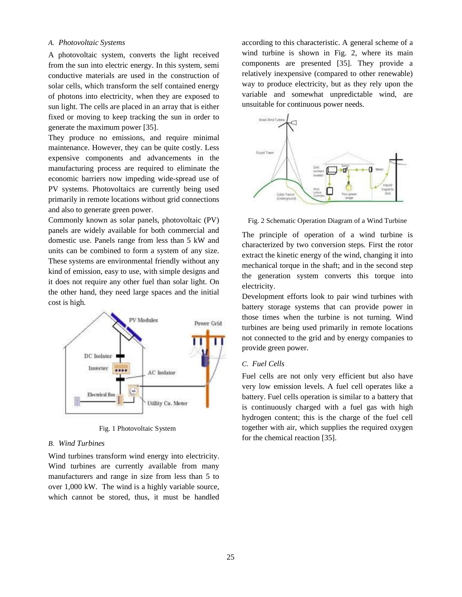## *A. Photovoltaic Systems*

A photovoltaic system, converts the light received from the sun into electric energy. In this system, semi conductive materials are used in the construction of solar cells, which transform the self contained energy of photons into electricity, when they are exposed to sun light. The cells are placed in an array that is either fixed or moving to keep tracking the sun in order to generate the maximum power [35].

They produce no emissions, and require minimal maintenance. However, they can be quite costly. Less expensive components and advancements in the manufacturing process are required to eliminate the economic barriers now impeding wide-spread use of PV systems. Photovoltaics are currently being used primarily in remote locations without grid connections and also to generate green power.

Commonly known as solar panels, photovoltaic (PV) panels are widely available for both commercial and domestic use. Panels range from less than 5 kW and units can be combined to form a system of any size. These systems are environmental friendly without any kind of emission, easy to use, with simple designs and it does not require any other fuel than solar light. On the other hand, they need large spaces and the initial cost is high.



Fig. 1 Photovoltaic System

## *B. Wind Turbines*

Wind turbines transform wind energy into electricity. Wind turbines are currently available from many manufacturers and range in size from less than 5 to over 1,000 kW. The wind is a highly variable source, which cannot be stored, thus, it must be handled according to this characteristic. A general scheme of a wind turbine is shown in Fig. 2, where its main components are presented [35]. They provide a relatively inexpensive (compared to other renewable) way to produce electricity, but as they rely upon the variable and somewhat unpredictable wind, are unsuitable for continuous power needs.



Fig. 2 Schematic Operation Diagram of a Wind Turbine

The principle of operation of a wind turbine is characterized by two conversion steps. First the rotor extract the kinetic energy of the wind, changing it into mechanical torque in the shaft; and in the second step the generation system converts this torque into electricity.

Development efforts look to pair wind turbines with battery storage systems that can provide power in those times when the turbine is not turning. Wind turbines are being used primarily in remote locations not connected to the grid and by energy companies to provide green power.

#### *C. Fuel Cells*

Fuel cells are not only very efficient but also have very low emission levels. A fuel cell operates like a battery. Fuel cells operation is similar to a battery that is continuously charged with a fuel gas with high hydrogen content; this is the charge of the fuel cell together with air, which supplies the required oxygen for the chemical reaction [35].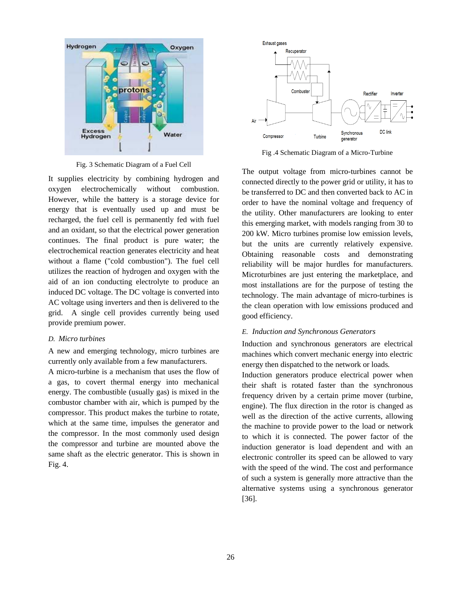

Fig. 3 Schematic Diagram of a Fuel Cell

It supplies electricity by combining hydrogen and oxygen electrochemically without combustion. However, while the battery is a storage device for energy that is eventually used up and must be recharged, the fuel cell is permanently fed with fuel and an oxidant, so that the electrical power generation continues. The final product is pure water; the electrochemical reaction generates electricity and heat without a flame ("cold combustion"). The fuel cell utilizes the reaction of hydrogen and oxygen with the aid of an ion conducting electrolyte to produce an induced DC voltage. The DC voltage is converted into AC voltage using inverters and then is delivered to the grid. A single cell provides currently being used provide premium power.

#### *D. Micro turbines*

A new and emerging technology, micro turbines are currently only available from a few manufacturers.

A micro-turbine is a mechanism that uses the flow of a gas, to covert thermal energy into mechanical energy. The combustible (usually gas) is mixed in the combustor chamber with air, which is pumped by the compressor. This product makes the turbine to rotate, which at the same time, impulses the generator and the compressor. In the most commonly used design the compressor and turbine are mounted above the same shaft as the electric generator. This is shown in Fig. 4.



Fig .4 Schematic Diagram of a Micro-Turbine

The output voltage from micro-turbines cannot be connected directly to the power grid or utility, it has to be transferred to DC and then converted back to AC in order to have the nominal voltage and frequency of the utility. Other manufacturers are looking to enter this emerging market, with models ranging from 30 to 200 kW. Micro turbines promise low emission levels, but the units are currently relatively expensive. Obtaining reasonable costs and demonstrating reliability will be major hurdles for manufacturers. Microturbines are just entering the marketplace, and most installations are for the purpose of testing the technology. The main advantage of micro-turbines is the clean operation with low emissions produced and good efficiency.

## *E. Induction and Synchronous Generators*

Induction and synchronous generators are electrical machines which convert mechanic energy into electric energy then dispatched to the network or loads.

Induction generators produce electrical power when their shaft is rotated faster than the synchronous frequency driven by a certain prime mover (turbine, engine). The flux direction in the rotor is changed as well as the direction of the active currents, allowing the machine to provide power to the load or network to which it is connected. The power factor of the induction generator is load dependent and with an electronic controller its speed can be allowed to vary with the speed of the wind. The cost and performance of such a system is generally more attractive than the alternative systems using a synchronous generator [36].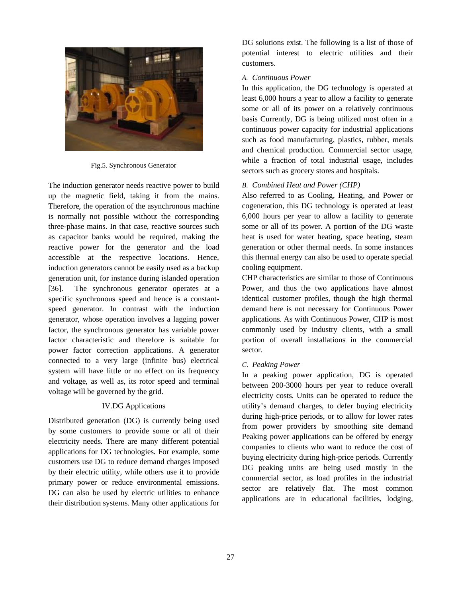

Fig.5. Synchronous Generator

The induction generator needs reactive power to build up the magnetic field, taking it from the mains. Therefore, the operation of the asynchronous machine is normally not possible without the corresponding three-phase mains. In that case, reactive sources such as capacitor banks would be required, making the reactive power for the generator and the load accessible at the respective locations. Hence, induction generators cannot be easily used as a backup generation unit, for instance during islanded operation [36]. The synchronous generator operates at a specific synchronous speed and hence is a constantspeed generator. In contrast with the induction generator, whose operation involves a lagging power factor, the synchronous generator has variable power factor characteristic and therefore is suitable for power factor correction applications. A generator connected to a very large (infinite bus) electrical system will have little or no effect on its frequency and voltage, as well as, its rotor speed and terminal voltage will be governed by the grid.

# IV.DG Applications

Distributed generation (DG) is currently being used by some customers to provide some or all of their electricity needs. There are many different potential applications for DG technologies. For example, some customers use DG to reduce demand charges imposed by their electric utility, while others use it to provide primary power or reduce environmental emissions. DG can also be used by electric utilities to enhance their distribution systems. Many other applications for DG solutions exist. The following is a list of those of potential interest to electric utilities and their customers.

## *A. Continuous Power*

In this application, the DG technology is operated at least 6,000 hours a year to allow a facility to generate some or all of its power on a relatively continuous basis Currently, DG is being utilized most often in a continuous power capacity for industrial applications such as food manufacturing, plastics, rubber, metals and chemical production. Commercial sector usage, while a fraction of total industrial usage, includes sectors such as grocery stores and hospitals.

# *B. Combined Heat and Power (CHP)*

Also referred to as Cooling, Heating, and Power or cogeneration, this DG technology is operated at least 6,000 hours per year to allow a facility to generate some or all of its power. A portion of the DG waste heat is used for water heating, space heating, steam generation or other thermal needs. In some instances this thermal energy can also be used to operate special cooling equipment.

CHP characteristics are similar to those of Continuous Power, and thus the two applications have almost identical customer profiles, though the high thermal demand here is not necessary for Continuous Power applications. As with Continuous Power, CHP is most commonly used by industry clients, with a small portion of overall installations in the commercial sector.

# *C. Peaking Power*

In a peaking power application, DG is operated between 200-3000 hours per year to reduce overall electricity costs. Units can be operated to reduce the utility's demand charges, to defer buying electricity during high-price periods, or to allow for lower rates from power providers by smoothing site demand Peaking power applications can be offered by energy companies to clients who want to reduce the cost of buying electricity during high-price periods. Currently DG peaking units are being used mostly in the commercial sector, as load profiles in the industrial sector are relatively flat. The most common applications are in educational facilities, lodging,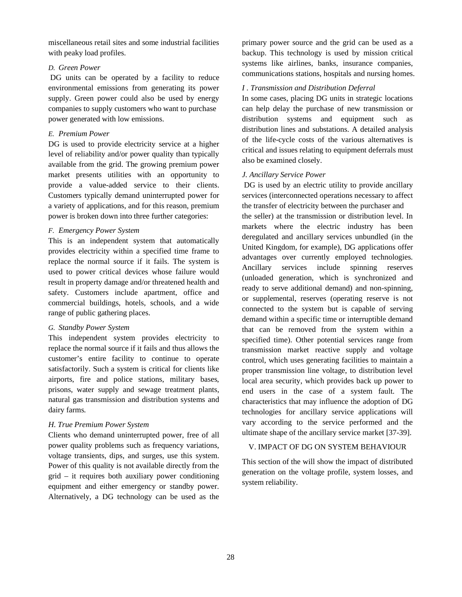miscellaneous retail sites and some industrial facilities with peaky load profiles.

# *D. Green Power*

DG units can be operated by a facility to reduce environmental emissions from generating its power supply. Green power could also be used by energy companies to supply customers who want to purchase power generated with low emissions.

# *E. Premium Power*

DG is used to provide electricity service at a higher level of reliability and/or power quality than typically available from the grid. The growing premium power market presents utilities with an opportunity to provide a value-added service to their clients. Customers typically demand uninterrupted power for a variety of applications, and for this reason, premium power is broken down into three further categories:

# *F. Emergency Power System*

This is an independent system that automatically provides electricity within a specified time frame to replace the normal source if it fails. The system is used to power critical devices whose failure would result in property damage and/or threatened health and safety. Customers include apartment, office and commercial buildings, hotels, schools, and a wide range of public gathering places.

# *G. Standby Power System*

This independent system provides electricity to replace the normal source if it fails and thus allows the customer's entire facility to continue to operate satisfactorily. Such a system is critical for clients like airports, fire and police stations, military bases, prisons, water supply and sewage treatment plants, natural gas transmission and distribution systems and dairy farms.

# *H. True Premium Power System*

Clients who demand uninterrupted power, free of all power quality problems such as frequency variations, voltage transients, dips, and surges, use this system. Power of this quality is not available directly from the grid – it requires both auxiliary power conditioning equipment and either emergency or standby power. Alternatively, a DG technology can be used as the

primary power source and the grid can be used as a backup. This technology is used by mission critical systems like airlines, banks, insurance companies, communications stations, hospitals and nursing homes.

# *I . Transmission and Distribution Deferral*

In some cases, placing DG units in strategic locations can help delay the purchase of new transmission or distribution systems and equipment such as distribution lines and substations. A detailed analysis of the life-cycle costs of the various alternatives is critical and issues relating to equipment deferrals must also be examined closely.

# *J. Ancillary Service Power*

DG is used by an electric utility to provide ancillary services (interconnected operations necessary to affect the transfer of electricity between the purchaser and the seller) at the transmission or distribution level. In markets where the electric industry has been deregulated and ancillary services unbundled (in the United Kingdom, for example), DG applications offer advantages over currently employed technologies. Ancillary services include spinning reserves (unloaded generation, which is synchronized and ready to serve additional demand) and non-spinning, or supplemental, reserves (operating reserve is not connected to the system but is capable of serving demand within a specific time or interruptible demand that can be removed from the system within a specified time). Other potential services range from transmission market reactive supply and voltage control, which uses generating facilities to maintain a proper transmission line voltage, to distribution level local area security, which provides back up power to end users in the case of a system fault. The characteristics that may influence the adoption of DG technologies for ancillary service applications will vary according to the service performed and the ultimate shape of the ancillary service market [37-39].

# V. IMPACT OF DG ON SYSTEM BEHAVIOUR

This section of the will show the impact of distributed generation on the voltage profile, system losses, and system reliability.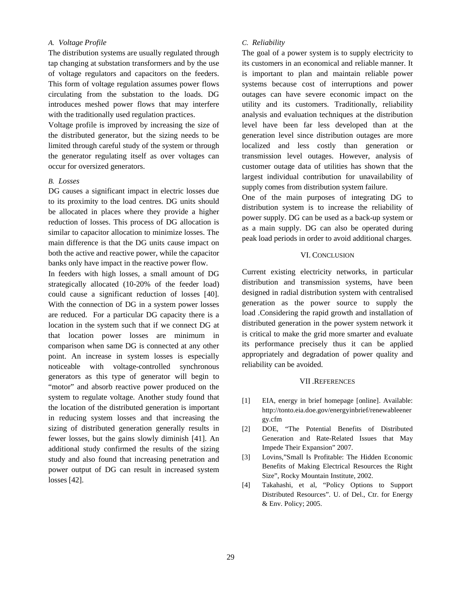# *A. Voltage Profile*

The distribution systems are usually regulated through tap changing at substation transformers and by the use of voltage regulators and capacitors on the feeders. This form of voltage regulation assumes power flows circulating from the substation to the loads. DG introduces meshed power flows that may interfere with the traditionally used regulation practices.

Voltage profile is improved by increasing the size of the distributed generator, but the sizing needs to be limited through careful study of the system or through the generator regulating itself as over voltages can occur for oversized generators.

#### *B. Losses*

DG causes a significant impact in electric losses due to its proximity to the load centres. DG units should be allocated in places where they provide a higher reduction of losses. This process of DG allocation is similar to capacitor allocation to minimize losses. The main difference is that the DG units cause impact on both the active and reactive power, while the capacitor banks only have impact in the reactive power flow.

In feeders with high losses, a small amount of DG strategically allocated (10-20% of the feeder load) could cause a significant reduction of losses [40]. With the connection of DG in a system power losses are reduced. For a particular DG capacity there is a location in the system such that if we connect DG at that location power losses are minimum in comparison when same DG is connected at any other point. An increase in system losses is especially noticeable with voltage-controlled synchronous generators as this type of generator will begin to "motor" and absorb reactive power produced on the system to regulate voltage. Another study found that the location of the distributed generation is important in reducing system losses and that increasing the sizing of distributed generation generally results in fewer losses, but the gains slowly diminish [41]. An additional study confirmed the results of the sizing study and also found that increasing penetration and power output of DG can result in increased system losses [42].

## *C. Reliability*

The goal of a power system is to supply electricity to its customers in an economical and reliable manner. It is important to plan and maintain reliable power systems because cost of interruptions and power outages can have severe economic impact on the utility and its customers. Traditionally, reliability analysis and evaluation techniques at the distribution level have been far less developed than at the generation level since distribution outages are more localized and less costly than generation or transmission level outages. However, analysis of customer outage data of utilities has shown that the largest individual contribution for unavailability of supply comes from distribution system failure.

One of the main purposes of integrating DG to distribution system is to increase the reliability of power supply. DG can be used as a back-up system or as a main supply. DG can also be operated during peak load periods in order to avoid additional charges.

## VI. CONCLUSION

Current existing electricity networks, in particular distribution and transmission systems, have been designed in radial distribution system with centralised generation as the power source to supply the load .Considering the rapid growth and installation of distributed generation in the power system network it is critical to make the grid more smarter and evaluate its performance precisely thus it can be applied appropriately and degradation of power quality and reliability can be avoided.

#### VII .REFERENCES

- [1] EIA, energy in brief homepage [online]. Available: http://tonto.eia.doe.gov/energyinbrief/renewableener gy.cfm
- [2] DOE, "The Potential Benefits of Distributed Generation and Rate-Related Issues that May Impede Their Expansion" 2007.
- [3] Lovins,"Small Is Profitable: The Hidden Economic Benefits of Making Electrical Resources the Right Size", Rocky Mountain Institute, 2002.
- [4] Takahashi, et al, "Policy Options to Support Distributed Resources". U. of Del., Ctr. for Energy & Env. Policy; 2005.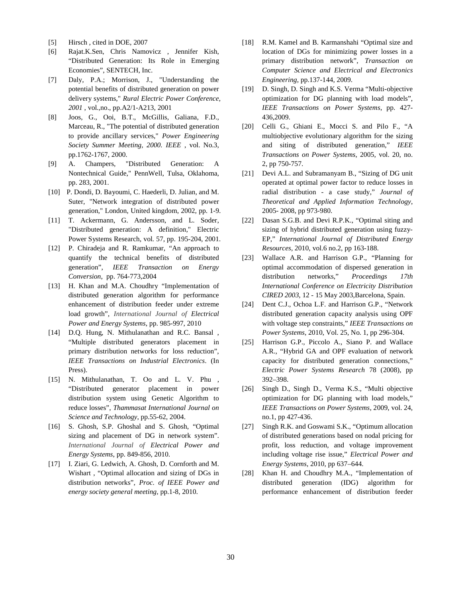- [5] Hirsch, cited in DOE, 2007
- [6] Rajat.K.Sen, Chris Namovicz , Jennifer Kish, "Distributed Generation: Its Role in Emerging Economies", SENTECH, Inc.
- [7] Daly, P.A.; Morrison, J., "Understanding the potential benefits of distributed generation on power delivery systems," *Rural Electric Power Conference, 2001* , vol.,no., pp.A2/1-A213, 2001
- [8] Joos, G., Ooi, B.T., McGillis, Galiana, F.D., Marceau, R., "The potential of distributed generation to provide ancillary services," *Power Engineering Society Summer Meeting, 2000. IEEE* , vol. No.3, pp.1762-1767, 2000.
- [9] A. Champers, "Distributed Generation: A Nontechnical Guide," PennWell, Tulsa, Oklahoma, pp. 283, 2001.
- [10] P. Dondi, D. Bayoumi, C. Haederli, D. Julian, and M. Suter, "Network integration of distributed power generation," London, United kingdom, 2002, pp. 1-9.
- [11] T. Ackermann, G. Andersson, and L. Soder, "Distributed generation: A definition," Electric Power Systems Research, vol. 57, pp. 195-204, 2001.
- [12] P. Chiradeja and R. Ramkumar, "An approach to quantify the technical benefits of distributed generation", *IEEE Transaction on Energy Conversion*, pp. 764-773,2004
- [13] H. Khan and M.A. Choudhry "Implementation of distributed generation algorithm for performance enhancement of distribution feeder under extreme load growth", *International Journal of Electrical Power and Energy Systems*, pp. 985-997, 2010
- [14] D.Q. Hung, N. Mithulanathan and R.C. Bansal, "Multiple distributed generators placement in primary distribution networks for loss reduction", *IEEE Transactions on Industrial Electronics*. (In Press).
- [15] N. Mithulanathan, T. Oo and L. V. Phu , "Distributed generator placement in power distribution system using Genetic Algorithm to reduce losses", *Thammasat International Journal on Science and Technology*, pp.55-62, 2004.
- [16] S. Ghosh, S.P. Ghoshal and S. Ghosh, "Optimal sizing and placement of DG in network system". *International Journal of Electrical Power and Energy Systems*, pp. 849-856, 2010.
- [17] I. Ziari, G. Ledwich, A. Ghosh, D. Cornforth and M. Wishart , "Optimal allocation and sizing of DGs in distribution networks", *Proc. of IEEE Power and energy society general meeting,* pp.1-8, 2010.
- [18] R.M. Kamel and B. Karmanshahi "Optimal size and location of DGs for minimizing power losses in a primary distribution network", *Transaction on Computer Science and Electrical and Electronics Engineering*, pp.137-144, 2009.
- [19] D. Singh, D. Singh and K.S. Verma "Multi-objective" optimization for DG planning with load models", *IEEE Transactions on Power Systems*, pp. 427- 436,2009.
- [20] Celli G., Ghiani E., Mocci S. and Pilo F., "A multiobjective evolutionary algorithm for the sizing and siting of distributed generation," *IEEE Transactions on Power Systems*, 2005, vol. 20, no. 2, pp 750-757.
- [21] Devi A.L. and Subramanyam B., "Sizing of DG unit operated at optimal power factor to reduce losses in radial distribution - a case study," *Journal of Theoretical and Applied Information Technology*, 2005- 2008, pp 973-980.
- [22] Dasan S.G.B. and Devi R.P.K., "Optimal siting and sizing of hybrid distributed generation using fuzzy-EP," *International Journal of Distributed Energy Resources*, 2010, vol.6 no.2, pp 163-188.
- [23] Wallace A.R. and Harrison G.P., "Planning for optimal accommodation of dispersed generation in distribution networks," *Proceedings 17th International Conference on Electricity Distribution CIRED 2003*, 12 - 15 May 2003,Barcelona, Spain.
- [24] Dent C.J., Ochoa L.F. and Harrison G.P., "Network" distributed generation capacity analysis using OPF with voltage step constraints," *IEEE Transactions on Power Systems*, 2010, Vol. 25, No. 1, pp 296-304.
- [25] Harrison G.P., Piccolo A., Siano P. and Wallace A.R., "Hybrid GA and OPF evaluation of network capacity for distributed generation connections," *Electric Power Systems Research* 78 (2008), pp 392–398.
- [26] Singh D., Singh D., Verma K.S., "Multi objective optimization for DG planning with load models," *IEEE Transactions on Power Systems*, 2009, vol. 24, no.1, pp 427-436.
- [27] Singh R.K. and Goswami S.K., "Optimum allocation of distributed generations based on nodal pricing for profit, loss reduction, and voltage improvement including voltage rise issue," *Electrical Power and Energy Systems*, 2010, pp 637–644.
- [28] Khan H. and Choudhry M.A., "Implementation of distributed generation (IDG) algorithm for performance enhancement of distribution feeder